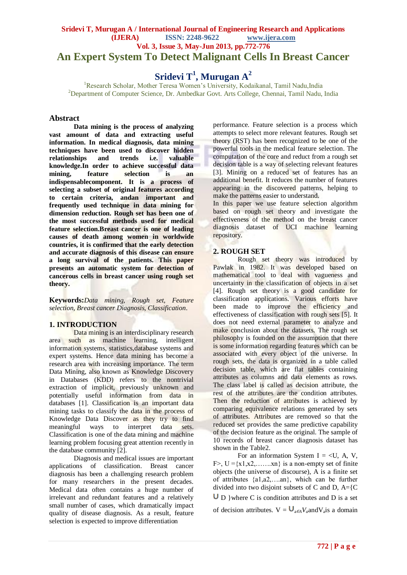# **Sridevi T, Murugan A / International Journal of Engineering Research and Applications (IJERA) ISSN: 2248-9622 www.ijera.com Vol. 3, Issue 3, May-Jun 2013, pp.772-776 An Expert System To Detect Malignant Cells In Breast Cancer**

# **Sridevi T<sup>1</sup> , Murugan A<sup>2</sup>**

<sup>1</sup>Research Scholar, Mother Teresa Women's University, Kodaikanal, Tamil Nadu,India <sup>2</sup>Department of Computer Science, Dr. Ambedkar Govt. Arts College, Chennai, Tamil Nadu, India

## **Abstract**

**Data mining is the process of analyzing vast amount of data and extracting useful information. In medical diagnosis, data mining techniques have been used to discover hidden relationships and trends i.e. valuable knowledge.In order to achieve successful data mining, feature selection is an indispensablecomponent. It is a process of selecting a subset of original features according to certain criteria, andan important and frequently used technique in data mining for dimension reduction. Rough set has been one of the most successful methods used for medical feature selection.Breast cancer is one of leading causes of death among women in worldwide countries, it is confirmed that the early detection and accurate diagnosis of this disease can ensure a long survival of the patients. This paper presents an automatic system for detection of cancerous cells in breast cancer using rough set theory.**

**Keywords:***Data mining, Rough set, Feature selection, Breast cancer Diagnosis, Classification*.

#### **1. INTRODUCTION**

Data mining is an interdisciplinary research area such as machine learning, intelligent information systems, statistics,database systems and expert systems. Hence data mining has become a research area with increasing importance. The term Data Mining, also known as Knowledge Discovery in Databases (KDD) refers to the nontrivial extraction of implicit, previously unknown and potentially useful information from data in databases [1]. Classification is an important data mining tasks to classify the data in the process of Knowledge Data Discover as they try to find meaningful ways to interpret data sets. Classification is one of the data mining and machine learning problem focusing great attention recently in the database community [2].

Diagnosis and medical issues are important applications of classification. Breast cancer diagnosis has been a challenging research problem for many researchers in the present decades. Medical data often contains a huge number of irrelevant and redundant features and a relatively small number of cases, which dramatically impact quality of disease diagnosis. As a result, feature selection is expected to improve differentiation

performance. Feature selection is a process which attempts to select more relevant features. Rough set theory (RST) has been recognized to be one of the powerful tools in the medical feature selection. The computation of the core and reduct from a rough set decision table is a way of selecting relevant features [3]. Mining on a reduced set of features has an additional benefit. It reduces the number of features appearing in the discovered patterns, helping to make the patterns easier to understand.

In this paper we use feature selection algorithm based on rough set theory and investigate the effectiveness of the method on the breast cancer diagnosis dataset of UCI machine learning repository.

# **2. ROUGH SET**

Rough set theory was introduced by Pawlak in 1982. It was developed based on mathematical tool to deal with vagueness and uncertainty in the classification of objects in a set [4]. Rough set theory is a good candidate for classification applications. Various efforts have been made to improve the efficiency and effectiveness of classification with rough sets [5]. It does not need external parameter to analyze and make conclusion about the datasets. The rough set philosophy is founded on the assumption that there is some information regarding features which can be associated with every object of the universe. In rough sets, the data is organized in a table called decision table, which are flat tables containing attributes as columns and data elements as rows. The class label is called as decision attribute, the rest of the attributes are the condition attributes. Then the reduction of attributes is achieved by comparing equivalence relations generated by sets of attributes. Attributes are removed so that the reduced set provides the same predictive capability of the decision feature as the original. The sample of 10 records of breast cancer diagnosis dataset has shown in the Table2.

For an information System I =  $\langle U, A, V, \rangle$ F>,  $U = \{x1, x2, \ldots, xn\}$  is a non-empty set of finite objects (the universe of discourse), A is a finite set of attributes {a1,a2,….an}, which can be further divided into two disjoint subsets of C and D,  $A = \{C\}$  $\overline{U}$  D } where C is condition attributes and D is a set

of decision attributes.  $V = \bigcup_{a \in A} V_a$  and  $V_a$  is a domain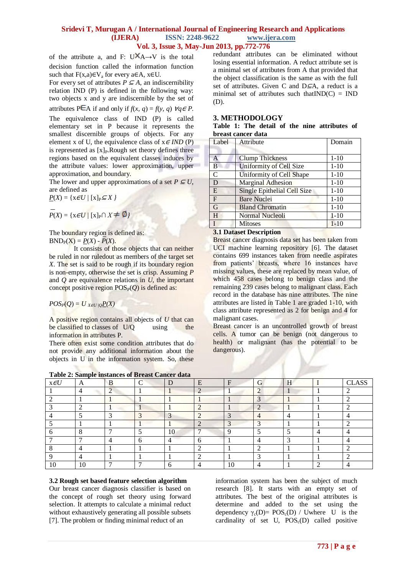of the attribute a, and F: U $\overline{X}$ A $\rightarrow$ V is the total decision function called the information function such that  $F(x,a) \in V_a$  for every a $\in A$ ,  $x \in U$ .

For every set of attributes  $P \subseteq A$ , an indiscernibility relation IND (P) is defined in the following way: two objects x and y are indiscernible by the set of

attributes P $\in$ A if and only if *f*(*x, q*) = *f*(*y, q*)  $\forall q \in P$ . The equivalence class of IND (P) is called elementary set in P because it represents the smallest discernible groups of objects. For any element x of U, the equivalence class of  $x \in IND$  (P) is represented as  $[x]_P$ . Rough set theory defines three regions based on the equivalent classes induces by the attribute values: lower approximation, upper approximation, and boundary.

The lower and upper approximations of a set  $P \subseteq U$ , are defined as

 $P(X) = \{x \in U / [x]_P \subseteq X\}$ 

 $P(X) = \{x \in U / [x]_P \cap X \neq \emptyset\}$ 

The boundary region is defined as:  $BND_{P}(X) = P(X) - P(X)$ .

It consists of those objects that can neither be ruled in nor ruledout as members of the target set *X*. The set is said to be rough if its boundary region is non-empty, otherwise the set is crisp. Assuming *P*  and  $Q$  are equivalence relations in  $U$ , the important concept positive region  $POS_{P}(Q)$  is defined as:

 $POS_{P}(Q) = U_{X \in U /Q}P(X)$ 

A positive region contains all objects of *U* that can be classified to classes of U/Q using the information in attributes P.

There often exist some condition attributes that do not provide any additional information about the objects in U in the information system. So, these

**Table 2: Sample instances of Breast Cancer data**

redundant attributes can be eliminated without losing essential information. A reduct attribute set is a minimal set of attributes from A that provided that the object classification is the same as with the full set of attributes. Given C and D⊆A, a reduct is a minimal set of attributes such that  $IND(C) = IND$ (D).

#### **3. METHODOLOGY**

|                    |  |  |  | Table 1: The detail of the nine attributes of |  |
|--------------------|--|--|--|-----------------------------------------------|--|
| breast cancer data |  |  |  |                                               |  |

| Label          | Attribute                          | Domain   |
|----------------|------------------------------------|----------|
|                |                                    |          |
| $\overline{A}$ | <b>Clump Thickness</b>             | $1 - 10$ |
| B              | <b>Uniformity of Cell Size</b>     | $1 - 10$ |
| $\overline{C}$ | Uniformity of Cell Shape           | $1 - 10$ |
| D              | <b>Marginal Adhesion</b>           | $1 - 10$ |
| E              | <b>Single Epithelial Cell Size</b> | $1 - 10$ |
| $\overline{F}$ | <b>Bare Nuclei</b>                 | $1 - 10$ |
| $\overline{G}$ | <b>Bland Chromatin</b>             | $1 - 10$ |
| H              | Normal Nucleoli                    | $1 - 10$ |
|                | <b>Mitoses</b>                     | $1 - 10$ |

#### **3.1 Dataset Description**

Breast cancer diagnosis data set has been taken from UCI machine learning repository [6]. The dataset contains 699 instances taken from needle aspirates from patients' breasts, where 16 instances have missing values, these are replaced by mean value, of which 458 cases belong to benign class and the remaining 239 cases belong to malignant class. Each record in the database has nine attributes. The nine attributes are listed in Table 1 are graded 1-10, with class attribute represented as 2 for benign and 4 for malignant cases.

Breast cancer is an uncontrolled growth of breast cells. A tumor can be benign (not dangerous to health) or malignant (has the potential to be dangerous).

| <b>Table 2: Sample instances of Breast Cancer data</b> |           |        |    |   |    |    |   |   |              |
|--------------------------------------------------------|-----------|--------|----|---|----|----|---|---|--------------|
| A                                                      | B         | $\sim$ | D  | E | F  | ٠Ť | H |   | <b>CLASS</b> |
|                                                        | $\bigcap$ |        |    |   |    |    |   |   |              |
|                                                        |           |        |    |   |    |    |   |   |              |
|                                                        |           |        |    |   |    |    |   |   |              |
|                                                        |           |        | 3  |   |    |    |   |   |              |
|                                                        |           |        |    |   |    |    |   |   |              |
| ິ                                                      |           |        | 10 |   |    |    |   | 4 |              |
|                                                        | $\Delta$  | h      | 4  | n |    |    |   |   |              |
|                                                        |           |        |    |   |    |    |   |   |              |
|                                                        |           |        |    |   |    |    |   |   |              |
| 10                                                     |           | −      |    |   | 10 |    |   |   |              |
|                                                        |           |        |    |   |    |    |   |   |              |

#### **3.2 Rough set based feature selection algorithm**

Our breast cancer diagnosis classifier is based on the concept of rough set theory using forward selection. It attempts to calculate a minimal reduct without exhaustively generating all possible subsets [7]. The problem or finding minimal reduct of an

information system has been the subject of much research [8]. It starts with an empty set of attributes. The best of the original attributes is determine and added to the set using the dependency  $\gamma_c(D) = POS_c(D)$  / Uwhere U is the cardinality of set U,  $POS<sub>c</sub>(D)$  called positive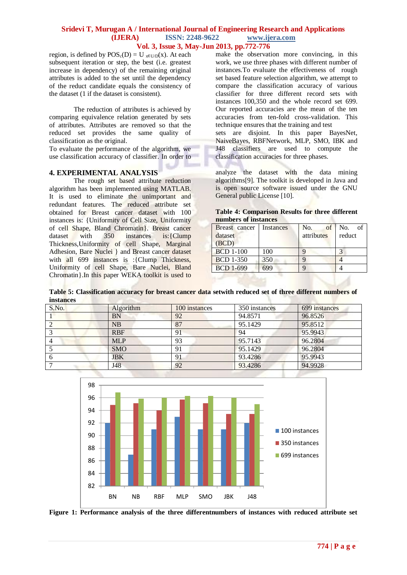region, is defined by  $POS_c(D) = U_{x \in U/D}(x)$ . At each subsequent iteration or step, the best (i.e. greatest increase in dependency) of the remaining original attributes is added to the set until the dependency of the reduct candidate equals the consistency of the dataset (1 if the dataset is consistent).

The reduction of attributes is achieved by comparing equivalence relation generated by sets of attributes. Attributes are removed so that the reduced set provides the same quality of classification as the original.

To evaluate the performance of the algorithm, we use classification accuracy of classifier. In order to

#### **4. EXPERIMENTAL ANALYSIS**

The rough set based attribute reduction algorithm has been implemented using MATLAB. It is used to eliminate the unimportant and redundant features. The reduced attribute set obtained for Breast cancer dataset with 100 instances is: {Uniformity of Cell Size, Uniformity of cell Shape, Bland Chromatin}. Breast cancer dataset with 350 instances is: {Clump Thickness,Uniformity of cell Shape, Marginal Adhesion, Bare Nuclei } and Breast cancer dataset with all 699 instances is :{Clump Thickness, Uniformity of cell Shape, Bare Nuclei, Bland Chromatin}.In this paper WEKA toolkit is used to make the observation more convincing, in this work, we use three phases with different number of instances.To evaluate the effectiveness of rough set based feature selection algorithm, we attempt to compare the classification accuracy of various classifier for three different record sets with instances 100,350 and the whole record set 699. Our reported accuracies are the mean of the ten accuracies from ten-fold cross-validation. This technique ensures that the training and test

sets are disjoint. In this paper BayesNet, NaiveBayes, RBFNetwork, MLP, SMO, IBK and J48 classifiers are used to compute the classification accuracies for three phases.

analyze the dataset with the data mining algorithms[9]. The toolkit is developed in Java and is open source software issued under the GNU General public License [10].

| <b>Table 4: Comparison Results for three different</b> |  |  |
|--------------------------------------------------------|--|--|
| numbers of instances                                   |  |  |

| Breast cancer<br>dataset<br>(BCD) | Instances | No.<br>of<br>attributes | No.<br>of<br>reduct |
|-----------------------------------|-----------|-------------------------|---------------------|
| <b>BCD</b> 1-100                  | 100       |                         |                     |
| <b>BCD 1-350</b>                  | 350       |                         |                     |
| <b>BCD 1-699</b>                  |           |                         |                     |

**Table 5: Classification accuracy for breast cancer data setwith reduced set of three different numbers of instances**

| 699 instances |
|---------------|
|               |
|               |
|               |
|               |
|               |
|               |
|               |
|               |



**Figure 1: Performance analysis of the three differentnumbers of instances with reduced attribute set**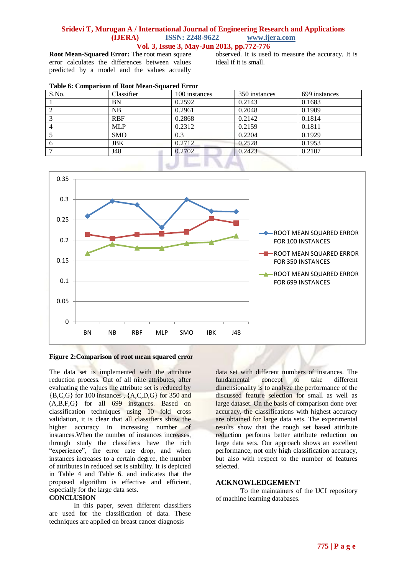**Root Mean-Squared Error:** The root mean square error calculates the differences between values predicted by a model and the values actually observed. It is used to measure the accuracy. It is ideal if it is small.

|  |  |  | Table 6: Comparison of Root Mean-Squared Error |  |
|--|--|--|------------------------------------------------|--|
|--|--|--|------------------------------------------------|--|

| S.No. | Classifier | 100 instances | 350 instances | 699 instances |
|-------|------------|---------------|---------------|---------------|
|       | BN         | 0.2592        | 0.2143        | 0.1683        |
|       | NB         | 0.2961        | 0.2048        | 0.1909        |
|       | <b>RBF</b> | 0.2868        | 0.2142        | 0.1814        |
|       | <b>MLP</b> | 0.2312        | 0.2159        | 0.1811        |
|       | <b>SMO</b> | 0.3           | 0.2204        | 0.1929        |
| 6     | JBK        | 0.2712        | 0.2528        | 0.1953        |
|       | J48        | 0.2702        | 0.2423        | 0.2107        |
|       |            |               |               |               |



#### **Figure 2:Comparison of root mean squared error**

The data set is implemented with the attribute reduction process. Out of all nine attributes, after evaluating the values the attribute set is reduced by {B,C,G} for 100 instances , {A,C,D,G} for 350 and (A,B,F,G} for all 699 instances. Based on classification techniques using 10 fold cross validation, it is clear that all classifiers show the higher accuracy in increasing number of instances.When the number of instances increases, through study the classifiers have the rich "experience", the error rate drop, and when instances increases to a certain degree, the number of attributes in reduced set is stability. It is depicted in Table 4 and Table 6. and indicates that the proposed algorithm is effective and efficient, especially for the large data sets.

#### **CONCLUSION**

In this paper, seven different classifiers are used for the classification of data. These techniques are applied on breast cancer diagnosis

data set with different numbers of instances. The<br>fundamental concept to take different concept to dimensionality is to analyze the performance of the discussed feature selection for small as well as large dataset. On the basis of comparison done over accuracy, the classifications with highest accuracy are obtained for large data sets. The experimental results show that the rough set based attribute reduction performs better attribute reduction on large data sets. Our approach shows an excellent performance, not only high classification accuracy, but also with respect to the number of features selected.

#### **ACKNOWLEDGEMENT**

To the maintainers of the UCI repository of machine learning databases.